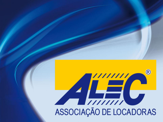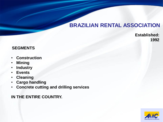## **BRAZILIAN RENTAL ASSOCIATION**

**Established: 1992**

#### **SEGMENTS**

- **Construction**
- **Mining**
- **Industry**
- **Events**
- **Cleaning**
- **Cargo handling**
- **Concrete cutting and drilling services**

#### **IN THE ENTIRE COUNTRY.**

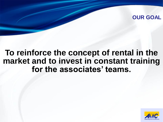## **OUR GOAL**

# **To reinforce the concept of rental in the market and to invest in constant training for the associates' teams.**

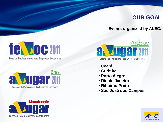## **OUR GOAL**

#### **Events organized by ALEC:**

# **fel boc 2011**

Feira de Equipamentos para Empresas Locadoras





Encontro de Profissionais das Empresas Locadoras

- **Ceará**
- **Curitiba**
- **Porto Alegre**
- **Rio de Janeiro**
- **Ribeirão Preto**
- **São José dos Campos**



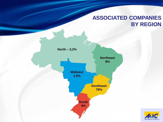## **ASSOCIATED COMPANIES BY REGION**



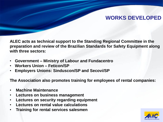## **WORKS DEVELOPED**

**ALEC acts as technical support to the Standing Regional Committee in the preparation and review of the Brazilian Standards for Safety Equipment along with three sectors:**

- **Government – Ministry of Labour and Fundacentro**
- **Workers Union – Feticon/SP**
- **Employers Unions: Sinduscon/SP and Secovi/SP**

**The Association also promotes training for employees of rental companies:**

- **Machine Maintenance**
- **Lectures on business management**
- **Lectures on security regarding equipment**
- **Lectures on rental value calculations**
- **Training for rental services salesmen**

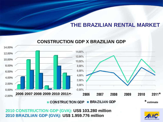#### 14,00% 14,00% 12,00% 12,00% 10,00% 10,00% 8,00% 8,00% 6,00% 6,00% 4,00% 4,00% 2,00% 2,00%  $0,00%$  $-2,00%$ 0,00% **2006 2007 2008 2009 2010 2011\* \*** -2,00% **\* estimate**■ CONSTRUCTION GDP **BRAZILIAN GDP**

### **CONSTRUCTION GDP X BRAZILIAN GDP**

**2010 CONSTRUCTION GDP (GVA): US\$ 103.280 million 2010 BRAZILIAN GDP (GVA): US\$ 1.959.776 million**

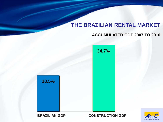#### **ACCUMULATED GDP 2007 TO 2010**

**34,7%**





**BRAZILIAN GDP CONSTRUCTION GDP**

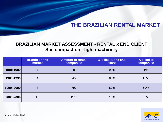## **BRAZILIAN MARKET ASSESSMENT - RENTAL x END CLIENT Soil compaction - light machinery**

|            | <b>Brands on the</b><br>market | <b>Amount of rental</b><br><b>companies</b> | % billed to the end<br><b>client</b> | % billed to<br>companies |
|------------|--------------------------------|---------------------------------------------|--------------------------------------|--------------------------|
| until 1980 | 4                              | 8                                           | 99%                                  | 1%                       |
| 1980-1990  | 4                              | 45                                          | 85%                                  | 15%                      |
| 1990-2000  | 8                              | 700                                         | 50%                                  | 50%                      |
| 2000-2009  | 15                             | 1160                                        | 15%                                  | 85%                      |

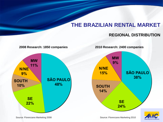#### **REGIONAL DISTRIBUTION**

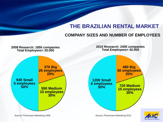#### **COMPANY SIZES AND NUMBER OF EMPLOYEES**

#### **2008 Research: 1850 companies Total Employees= 20.000 2010 Research: 2400 companies Total Employees= 42.000 930 Small 5 employees 50% 370 Big 26 employees 20% 550 Medium 10 employees 30% 1200 Small 6 employees 50% 480 Big 50 employees 20% 720 Medium 15 employees 30%**

Source: Florenzano Marketing 2008 Source: Florenzano Marketing 2010